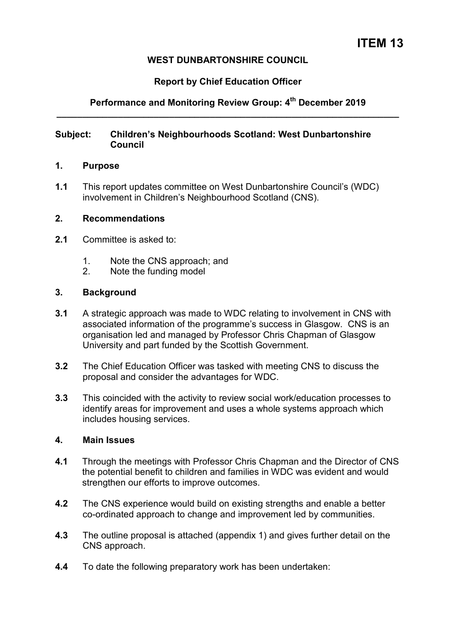# **WEST DUNBARTONSHIRE COUNCIL**

# **Report by Chief Education Officer**

# **Performance and Monitoring Review Group: 4th December 2019 \_\_\_\_\_\_\_\_\_\_\_\_\_\_\_\_\_\_\_\_\_\_\_\_\_\_\_\_\_\_\_\_\_\_\_\_\_\_\_\_\_\_\_\_\_\_\_\_\_\_\_\_\_\_\_\_\_\_\_\_\_\_\_\_\_\_\_**

### **Subject: Children's Neighbourhoods Scotland: West Dunbartonshire Council**

#### **1. Purpose**

**1.1** This report updates committee on West Dunbartonshire Council's (WDC) involvement in Children's Neighbourhood Scotland (CNS).

## **2. Recommendations**

- **2.1** Committee is asked to:
	- 1. Note the CNS approach; and<br>2 Note the funding model
	- Note the funding model

#### **3. Background**

- **3.1** A strategic approach was made to WDC relating to involvement in CNS with associated information of the programme's success in Glasgow. CNS is an organisation led and managed by Professor Chris Chapman of Glasgow University and part funded by the Scottish Government.
- **3.2** The Chief Education Officer was tasked with meeting CNS to discuss the proposal and consider the advantages for WDC.
- **3.3** This coincided with the activity to review social work/education processes to identify areas for improvement and uses a whole systems approach which includes housing services.

# **4. Main Issues**

- **4.1** Through the meetings with Professor Chris Chapman and the Director of CNS the potential benefit to children and families in WDC was evident and would strengthen our efforts to improve outcomes.
- **4.2** The CNS experience would build on existing strengths and enable a better co-ordinated approach to change and improvement led by communities.
- **4.3** The outline proposal is attached (appendix 1) and gives further detail on the CNS approach.
- **4.4** To date the following preparatory work has been undertaken: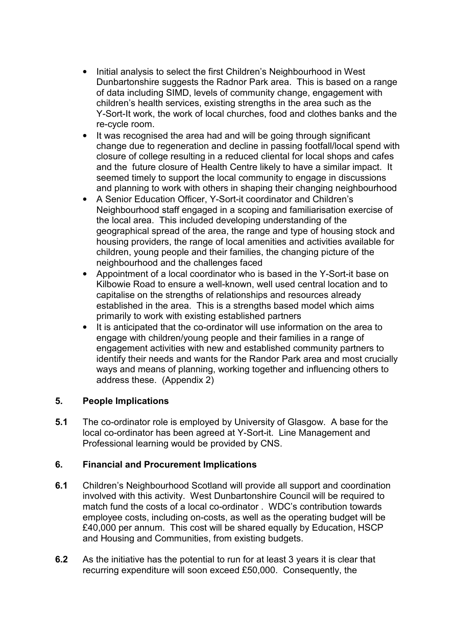- Initial analysis to select the first Children's Neighbourhood in West Dunbartonshire suggests the Radnor Park area. This is based on a range of data including SIMD, levels of community change, engagement with children's health services, existing strengths in the area such as the Y-Sort-It work, the work of local churches, food and clothes banks and the re-cycle room.
- It was recognised the area had and will be going through significant change due to regeneration and decline in passing footfall/local spend with closure of college resulting in a reduced cliental for local shops and cafes and the future closure of Health Centre likely to have a similar impact. It seemed timely to support the local community to engage in discussions and planning to work with others in shaping their changing neighbourhood
- A Senior Education Officer, Y-Sort-it coordinator and Children's Neighbourhood staff engaged in a scoping and familiarisation exercise of the local area. This included developing understanding of the geographical spread of the area, the range and type of housing stock and housing providers, the range of local amenities and activities available for children, young people and their families, the changing picture of the neighbourhood and the challenges faced
- Appointment of a local coordinator who is based in the Y-Sort-it base on Kilbowie Road to ensure a well-known, well used central location and to capitalise on the strengths of relationships and resources already established in the area. This is a strengths based model which aims primarily to work with existing established partners
- It is anticipated that the co-ordinator will use information on the area to engage with children/young people and their families in a range of engagement activities with new and established community partners to identify their needs and wants for the Randor Park area and most crucially ways and means of planning, working together and influencing others to address these. (Appendix 2)

# **5. People Implications**

**5.1** The co-ordinator role is employed by University of Glasgow. A base for the local co-ordinator has been agreed at Y-Sort-it. Line Management and Professional learning would be provided by CNS.

## **6. Financial and Procurement Implications**

- **6.1** Children's Neighbourhood Scotland will provide all support and coordination involved with this activity. West Dunbartonshire Council will be required to match fund the costs of a local co-ordinator . WDC's contribution towards employee costs, including on-costs, as well as the operating budget will be £40,000 per annum. This cost will be shared equally by Education, HSCP and Housing and Communities, from existing budgets.
- **6.2** As the initiative has the potential to run for at least 3 years it is clear that recurring expenditure will soon exceed £50,000. Consequently, the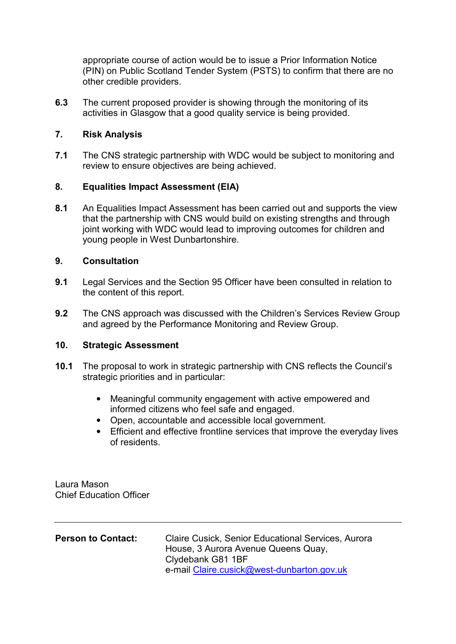appropriate course of action would be to issue a Prior Information Notice (PIN) on Public Scotland Tender System (PSTS) to confirm that there are no other credible providers.

**6.3** The current proposed provider is showing through the monitoring of its activities in Glasgow that a good quality service is being provided.

# **7. Risk Analysis**

**7.1** The CNS strategic partnership with WDC would be subject to monitoring and review to ensure objectives are being achieved.

# **8. Equalities Impact Assessment (EIA)**

**8.1** An Equalities Impact Assessment has been carried out and supports the view that the partnership with CNS would build on existing strengths and through joint working with WDC would lead to improving outcomes for children and young people in West Dunbartonshire.

# **9. Consultation**

- **9.1** Legal Services and the Section 95 Officer have been consulted in relation to the content of this report.
- **9.2** The CNS approach was discussed with the Children's Services Review Group and agreed by the Performance Monitoring and Review Group.

## **10. Strategic Assessment**

- **10.1** The proposal to work in strategic partnership with CNS reflects the Council's strategic priorities and in particular:
	- Meaningful community engagement with active empowered and informed citizens who feel safe and engaged.
	- Open, accountable and accessible local government.
	- Efficient and effective frontline services that improve the everyday lives of residents.

Laura Mason Chief Education Officer

| House, 3 Aurora Avenue Queens Quay,                             |
|-----------------------------------------------------------------|
| Clydebank G81 1BF<br>e-mail Claire.cusick@west-dunbarton.gov.uk |
|                                                                 |